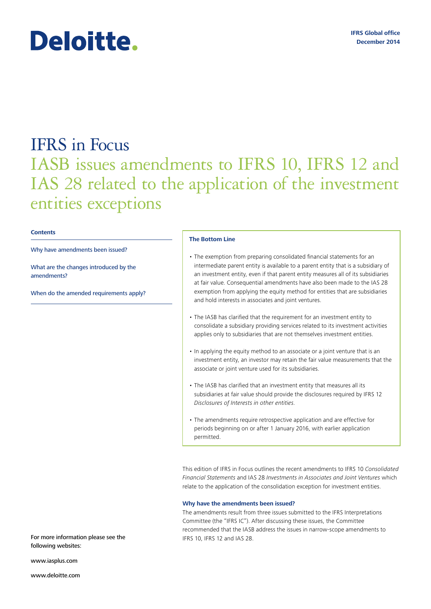# Deloitte.

# IFRS in Focus IASB issues amendments to IFRS 10, IFRS 12 and IAS 28 related to the application of the investment entities exceptions

## **Contents**

## Why have amendments been issued?

What are the changes introduced by the amendments?

When do the amended requirements apply?

#### **The Bottom Line**

- The exemption from preparing consolidated financial statements for an intermediate parent entity is available to a parent entity that is a subsidiary of an investment entity, even if that parent entity measures all of its subsidiaries at fair value. Consequential amendments have also been made to the IAS 28 exemption from applying the equity method for entities that are subsidiaries and hold interests in associates and joint ventures.
- The IASB has clarified that the requirement for an investment entity to consolidate a subsidiary providing services related to its investment activities applies only to subsidiaries that are not themselves investment entities.
- In applying the equity method to an associate or a joint venture that is an investment entity, an investor may retain the fair value measurements that the associate or joint venture used for its subsidiaries.
- The IASB has clarified that an investment entity that measures all its subsidiaries at fair value should provide the disclosures required by IFRS 12 *Disclosures of Interests in other entities*.
- The amendments require retrospective application and are effective for periods beginning on or after 1 January 2016, with earlier application permitted.

This edition of IFRS in Focus outlines the recent amendments to IFRS 10 *Consolidated Financial Statements* and IAS 28 *Investments in Associates and Joint Ventures* which relate to the application of the consolidation exception for investment entities.

# **Why have the amendments been issued?**

The amendments result from three issues submitted to the IFRS Interpretations Committee (the "IFRS IC"). After discussing these issues, the Committee recommended that the IASB address the issues in narrow-scope amendments to IFRS 10, IFRS 12 and IAS 28.

For more information please see the following websites:

<www.iasplus.com>

<www.deloitte.com>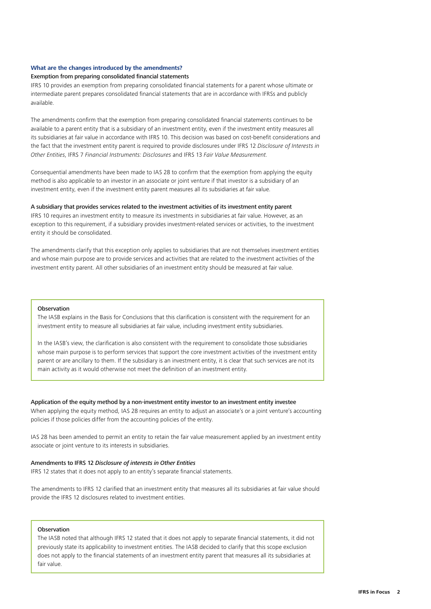# **What are the changes introduced by the amendments?**

#### Exemption from preparing consolidated financial statements

IFRS 10 provides an exemption from preparing consolidated financial statements for a parent whose ultimate or intermediate parent prepares consolidated financial statements that are in accordance with IFRSs and publicly available.

The amendments confirm that the exemption from preparing consolidated financial statements continues to be available to a parent entity that is a subsidiary of an investment entity, even if the investment entity measures all its subsidiaries at fair value in accordance with IFRS 10. This decision was based on cost-benefit considerations and the fact that the investment entity parent is required to provide disclosures under IFRS 12 *Disclosure of Interests in Other Entities*, IFRS 7 *Financial Instruments: Disclosures* and IFRS 13 *Fair Value Measurement.*

Consequential amendments have been made to IAS 28 to confirm that the exemption from applying the equity method is also applicable to an investor in an associate or joint venture if that investor is a subsidiary of an investment entity, even if the investment entity parent measures all its subsidiaries at fair value.

#### A subsidiary that provides services related to the investment activities of its investment entity parent

IFRS 10 requires an investment entity to measure its investments in subsidiaries at fair value. However, as an exception to this requirement, if a subsidiary provides investment-related services or activities, to the investment entity it should be consolidated.

The amendments clarify that this exception only applies to subsidiaries that are not themselves investment entities and whose main purpose are to provide services and activities that are related to the investment activities of the investment entity parent. All other subsidiaries of an investment entity should be measured at fair value.

#### Observation

The IASB explains in the Basis for Conclusions that this clarification is consistent with the requirement for an investment entity to measure all subsidiaries at fair value, including investment entity subsidiaries.

In the IASB's view, the clarification is also consistent with the requirement to consolidate those subsidiaries whose main purpose is to perform services that support the core investment activities of the investment entity parent or are ancillary to them. If the subsidiary is an investment entity, it is clear that such services are not its main activity as it would otherwise not meet the definition of an investment entity.

# Application of the equity method by a non-investment entity investor to an investment entity investee

When applying the equity method, IAS 28 requires an entity to adjust an associate's or a joint venture's accounting policies if those policies differ from the accounting policies of the entity.

IAS 28 has been amended to permit an entity to retain the fair value measurement applied by an investment entity associate or joint venture to its interests in subsidiaries.

# Amendments to IFRS 12 *Disclosure of interests in Other Entities*

IFRS 12 states that it does not apply to an entity's separate financial statements.

The amendments to IFRS 12 clarified that an investment entity that measures all its subsidiaries at fair value should provide the IFRS 12 disclosures related to investment entities.

# Observation

The IASB noted that although IFRS 12 stated that it does not apply to separate financial statements, it did not previously state its applicability to investment entities. The IASB decided to clarify that this scope exclusion does not apply to the financial statements of an investment entity parent that measures all its subsidiaries at fair value.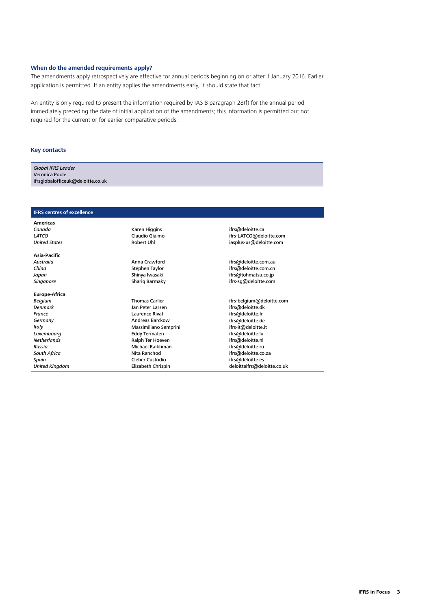# **When do the amended requirements apply?**

The amendments apply retrospectively are effective for annual periods beginning on or after 1 January 2016. Earlier application is permitted. If an entity applies the amendments early, it should state that fact.

An entity is only required to present the information required by IAS 8 paragraph 28(f) for the annual period immediately preceding the date of initial application of the amendments; this information is permitted but not required for the current or for earlier comparative periods.

#### **Key contacts**

| <b>Global IFRS Leader</b>         |  |
|-----------------------------------|--|
| Veronica Poole                    |  |
| ifrsglobalofficeuk@deloitte.co.uk |  |

#### **IFRS centres of excellence**

**Americas** *Canada LATCO United States*

**Asia‑Pacific** *Australia China Japan*

*Singapore*

#### **Europe‑Africa**

*Belgium Denmark France Germany Italy Luxembourg Netherlands Russia South Africa Spain United Kingdom* Karen Higgins Claudio Giaimo Robert Uhl

Anna Crawford Stephen Taylor Shinya Iwasaki Shariq Barmaky

Thomas Carlier Jan Peter Larsen Laurence Rivat Andreas Barckow Massimiliano Semprini Eddy Termaten Ralph Ter Hoeven Michael Raikhman Nita Ranchod Cleber Custodio Elizabeth Chrispin

[ifrs@deloitte.ca](mailto:ifrs@deloitte.ca) ifrs[-LATCO@deloitte.com](mailto:LATCO@deloitte.com) [iasplus-us@deloitte.com](mailto:iasplus-us@deloitte.com)

[ifrs@deloitte.com.au](mailto:ifrs@deloitte.com.au) [ifrs@deloitte.com.cn](mailto:ifrs@deloitte.com.cn) [ifrs@tohmatsu.co.jp](mailto:ifrs@tohmatsu.co.jp) ifrs[-sg@deloitte.com](mailto:sg@deloitte.com)

ifrs[-belgium@deloitte.com](mailto:belgium@deloitte.com) [ifrs@deloitte.dk](mailto:ifrs@deloitte.dk) [ifrs@deloitte.fr](mailto:ifrs@deloitte.fr) [ifrs@deloitte.de](mailto:ifrs@deloitte.de) [ifrs-it@deloitte.it](mailto:ifrs-it@deloitte.it) [ifrs@deloitte.lu](mailto:ifrs@deloitte.lu) [ifrs@deloitte.nl](mailto:ifrs@deloitte.nl) [ifrs@deloitte.ru](mailto:ifrs@deloitte.ru) [ifrs@deloitte.co.za](mailto:ifrs@deloitte.co.za) [ifrs@deloitte.es](mailto:ifrs@deloitte.es) [deloitteifrs@deloitte.co.uk](mailto:deloitteifrs@deloitte.co.uk)